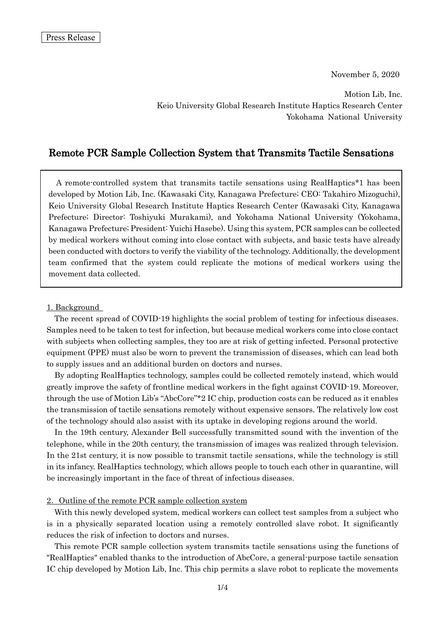November 5, 2020

Motion Lib, Inc. Keio University Global Research Institute Haptics Research Center Yokohama National University

# Remote PCR Sample Collection System that Transmits Tactile Sensations

A remote-controlled system that transmits tactile sensations using RealHaptics\*1 has been developed by Motion Lib, Inc. (Kawasaki City, Kanagawa Prefecture; CEO: Takahiro Mizoguchi), Keio University Global Research Institute Haptics Research Center (Kawasaki City, Kanagawa Prefecture; Director: Toshiyuki Murakami), and Yokohama National University (Yokohama, Kanagawa Prefecture; President: Yuichi Hasebe). Using this system, PCR samples can be collected by medical workers without coming into close contact with subjects, and basic tests have already been conducted with doctors to verify the viability of the technology. Additionally, the development team confirmed that the system could replicate the motions of medical workers using the movement data collected.

### 1. Background

The recent spread of COVID-19 highlights the social problem of testing for infectious diseases. Samples need to be taken to test for infection, but because medical workers come into close contact with subjects when collecting samples, they too are at risk of getting infected. Personal protective equipment (PPE) must also be worn to prevent the transmission of diseases, which can lead both to supply issues and an additional burden on doctors and nurses.

By adopting RealHaptics technology, samples could be collected remotely instead, which would greatly improve the safety of frontline medical workers in the fight against COVID-19. Moreover, through the use of Motion Lib's "AbcCore"\*2 IC chip, production costs can be reduced as it enables the transmission of tactile sensations remotely without expensive sensors. The relatively low cost of the technology should also assist with its uptake in developing regions around the world.

In the 19th century, Alexander Bell successfully transmitted sound with the invention of the telephone, while in the 20th century, the transmission of images was realized through television. In the 21st century, it is now possible to transmit tactile sensations, while the technology is still in its infancy. RealHaptics technology, which allows people to touch each other in quarantine, will be increasingly important in the face of threat of infectious diseases.

### 2. Outline of the remote PCR sample collection system

With this newly developed system, medical workers can collect test samples from a subject who is in a physically separated location using a remotely controlled slave robot. It significantly reduces the risk of infection to doctors and nurses.

This remote PCR sample collection system transmits tactile sensations using the functions of "RealHaptics" enabled thanks to the introduction of AbcCore, a general-purpose tactile sensation IC chip developed by Motion Lib, Inc. This chip permits a slave robot to replicate the movements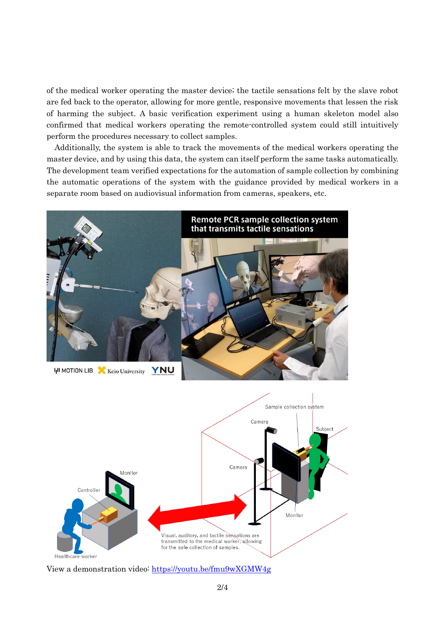of the medical worker operating the master device; the tactile sensations felt by the slave robot are fed back to the operator, allowing for more gentle, responsive movements that lessen the risk of harming the subject. A basic verification experiment using a human skeleton model also confirmed that medical workers operating the remote-controlled system could still intuitively perform the procedures necessary to collect samples.

Additionally, the system is able to track the movements of the medical workers operating the master device, and by using this data, the system can itself perform the same tasks automatically. The development team verified expectations for the automation of sample collection by combining the automatic operations of the system with the guidance provided by medical workers in a separate room based on audiovisual information from cameras, speakers, etc.





View a demonstration video:<https://youtu.be/fmu9wXGMW4g>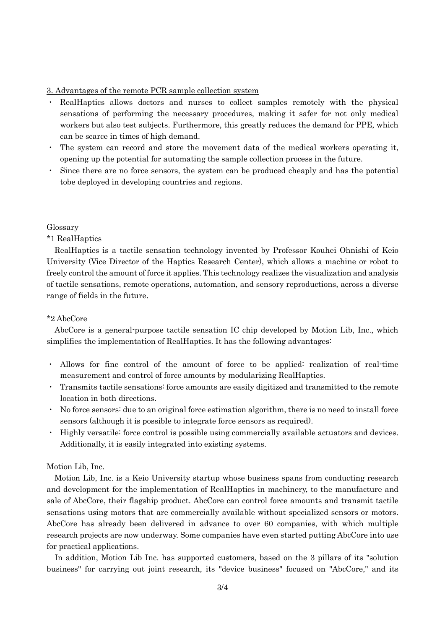## 3. Advantages of the remote PCR sample collection system

- ・ RealHaptics allows doctors and nurses to collect samples remotely with the physical sensations of performing the necessary procedures, making it safer for not only medical workers but also test subjects. Furthermore, this greatly reduces the demand for PPE, which can be scarce in times of high demand.
- ・ The system can record and store the movement data of the medical workers operating it, opening up the potential for automating the sample collection process in the future.
- ・ Since there are no force sensors, the system can be produced cheaply and has the potential tobe deployed in developing countries and regions.

### Glossary

\*1 RealHaptics

RealHaptics is a tactile sensation technology invented by Professor Kouhei Ohnishi of Keio University (Vice Director of the Haptics Research Center), which allows a machine or robot to freely control the amount of force it applies. This technology realizes the visualization and analysis of tactile sensations, remote operations, automation, and sensory reproductions, across a diverse range of fields in the future.

### \*2 AbcCore

AbcCore is a general-purpose tactile sensation IC chip developed by Motion Lib, Inc., which simplifies the implementation of RealHaptics. It has the following advantages:

- ・ Allows for fine control of the amount of force to be applied: realization of real-time measurement and control of force amounts by modularizing RealHaptics.
- ・ Transmits tactile sensations: force amounts are easily digitized and transmitted to the remote location in both directions.
- ・ No force sensors: due to an original force estimation algorithm, there is no need to install force sensors (although it is possible to integrate force sensors as required).
- ・ Highly versatile: force control is possible using commercially available actuators and devices. Additionally, it is easily integrated into existing systems.

### Motion Lib, Inc.

Motion Lib, Inc. is a Keio University startup whose business spans from conducting research and development for the implementation of RealHaptics in machinery, to the manufacture and sale of AbcCore, their flagship product. AbcCore can control force amounts and transmit tactile sensations using motors that are commercially available without specialized sensors or motors. AbcCore has already been delivered in advance to over 60 companies, with which multiple research projects are now underway. Some companies have even started putting AbcCore into use for practical applications.

In addition, Motion Lib Inc. has supported customers, based on the 3 pillars of its "solution business" for carrying out joint research, its "device business" focused on "AbcCore," and its